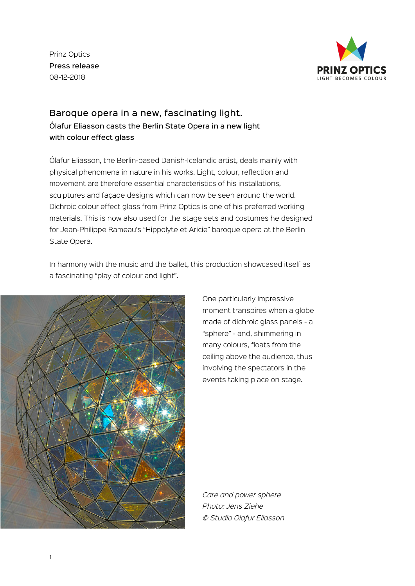Prinz Optics Press release 08-12-2018



## Baroque opera in a new, fascinating light. Ólafur Eliasson casts the Berlin State Opera in a new light with colour effect glass

Ólafur Eliasson, the Berlin-based Danish-Icelandic artist, deals mainly with physical phenomena in nature in his works. Light, colour, reflection and movement are therefore essential characteristics of his installations, sculptures and facade designs which can now be seen around the world. Dichroic colour effect glass from Prinz Optics is one of his preferred working materials. This is now also used for the stage sets and costumes he designed for Jean-Philippe Rameau's "Hippolyte et Aricie" baroque opera at the Berlin State Opera.

In harmony with the music and the ballet, this production showcased itself as a fascinating "play of colour and light".



One particularly impressive moment transpires when a globe made of dichroic glass panels - a "sphere" - and, shimmering in many colours, floats from the ceiling above the audience, thus involving the spectators in the events taking place on stage.

*Care and power sphere Photo: Jens Ziehe © Studio Olafur Eliasson*